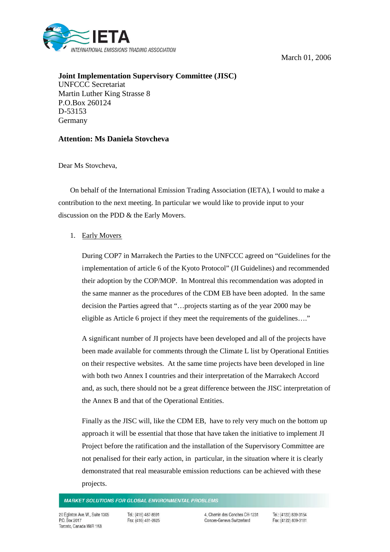March 01, 2006



**Joint Implementation Supervisory Committee (JISC)** UNFCCC Secretariat Martin Luther King Strasse 8 P.O.Box 260124 D-53153 Germany

## **Attention: Ms Daniela Stovcheva**

Dear Ms Stovcheva,

On behalf of the International Emission Trading Association (IETA), I would to make a contribution to the next meeting. In particular we would like to provide input to your discussion on the PDD & the Early Movers.

## 1. Early Movers

During COP7 in Marrakech the Parties to the UNFCCC agreed on "Guidelines for the implementation of article 6 of the Kyoto Protocol" (JI Guidelines) and recommended their adoption by the COP/MOP. In Montreal this recommendation was adopted in the same manner as the procedures of the CDM EB have been adopted. In the same decision the Parties agreed that "…projects starting as of the year 2000 may be eligible as Article 6 project if they meet the requirements of the guidelines…."

A significant number of JI projects have been developed and all of the projects have been made available for comments through the Climate L list by Operational Entities on their respective websites. At the same time projects have been developed in line with both two Annex I countries and their interpretation of the Marrakech Accord and, as such, there should not be a great difference between the JISC interpretation of the Annex B and that of the Operational Entities.

Finally as the JISC will, like the CDM EB, have to rely very much on the bottom up approach it will be essential that those that have taken the initiative to implement JI Project before the ratification and the installation of the Supervisory Committee are not penalised for their early action, in particular, in the situation where it is clearly demonstrated that real measurable emission reductions can be achieved with these projects.

## **MARKET SOLUTIONS FOR GLOBAL ENVIRONMENTAL PROBLEMS**

20 Eglinton Ave. W., Suite 1305 P.O. Box 2017 Toronto, Canada M4R 1K8

Tel.: (416) 487-8591 Fax: (416) 481-2625 4. Chemin des Conches CH-1231 Conces-Geneva Switzerland

Tel.: (4122) 839-3154 Fax: (4122) 839-3181